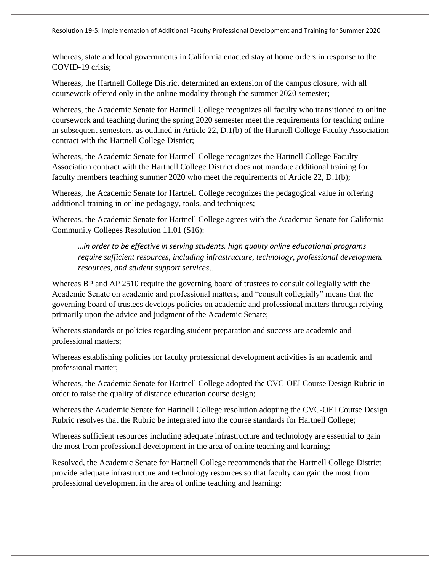Resolution 19-5: Implementation of Additional Faculty Professional Development and Training for Summer 2020

Whereas, state and local governments in California enacted stay at home orders in response to the COVID-19 crisis;

Whereas, the Hartnell College District determined an extension of the campus closure, with all coursework offered only in the online modality through the summer 2020 semester;

Whereas, the Academic Senate for Hartnell College recognizes all faculty who transitioned to online coursework and teaching during the spring 2020 semester meet the requirements for teaching online in subsequent semesters, as outlined in Article 22, D.1(b) of the Hartnell College Faculty Association contract with the Hartnell College District;

Whereas, the Academic Senate for Hartnell College recognizes the Hartnell College Faculty Association contract with the Hartnell College District does not mandate additional training for faculty members teaching summer 2020 who meet the requirements of Article 22, D.1(b);

Whereas, the Academic Senate for Hartnell College recognizes the pedagogical value in offering additional training in online pedagogy, tools, and techniques;

Whereas, the Academic Senate for Hartnell College agrees with the Academic Senate for California Community Colleges Resolution 11.01 (S16):

*…in order to be effective in serving students, high quality online educational programs require sufficient resources, including infrastructure, technology, professional development resources, and student support services…*

Whereas BP and AP 2510 require the governing board of trustees to consult collegially with the Academic Senate on academic and professional matters; and "consult collegially" means that the governing board of trustees develops policies on academic and professional matters through relying primarily upon the advice and judgment of the Academic Senate;

Whereas standards or policies regarding student preparation and success are academic and professional matters;

Whereas establishing policies for faculty professional development activities is an academic and professional matter;

Whereas, the Academic Senate for Hartnell College adopted the CVC-OEI Course Design Rubric in order to raise the quality of distance education course design;

Whereas the Academic Senate for Hartnell College resolution adopting the CVC-OEI Course Design Rubric resolves that the Rubric be integrated into the course standards for Hartnell College;

Whereas sufficient resources including adequate infrastructure and technology are essential to gain the most from professional development in the area of online teaching and learning;

Resolved, the Academic Senate for Hartnell College recommends that the Hartnell College District provide adequate infrastructure and technology resources so that faculty can gain the most from professional development in the area of online teaching and learning;